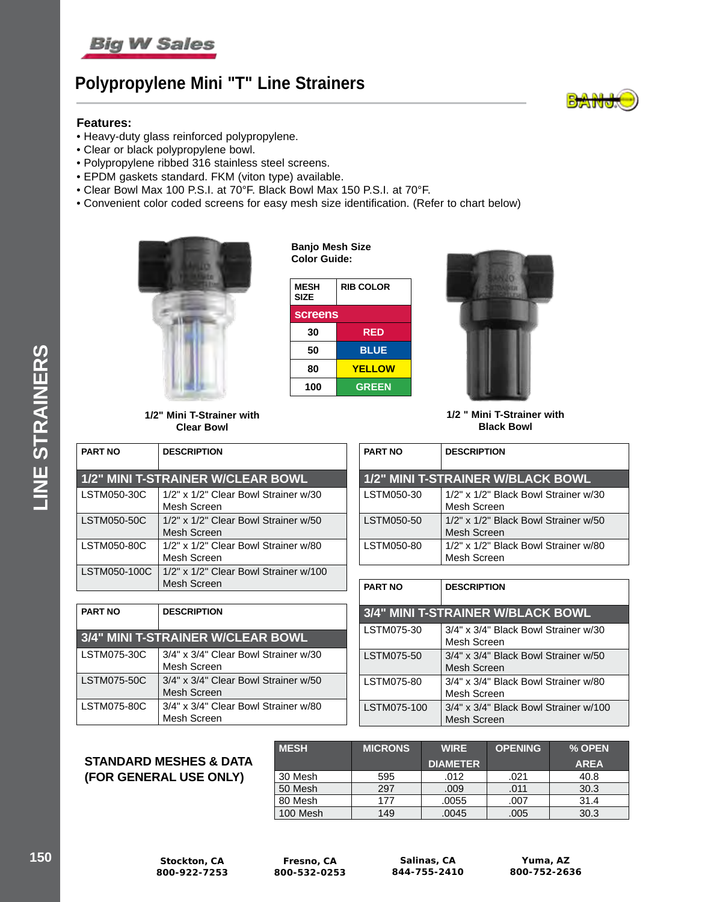

# **Polypropylene Mini "T" Line Strainers**

### **Features:**

- Heavy-duty glass reinforced polypropylene.
- Clear or black polypropylene bowl.
- Polypropylene ribbed 316 stainless steel screens.
- EPDM gaskets standard. FKM (viton type) available.
- Clear Bowl Max 100 P.S.I. at 70°F. Black Bowl Max 150 P.S.I. at 70°F.
- Convenient color coded screens for easy mesh size identification. (Refer to chart below)

**Banjo Mesh Size** 



**1/2" Mini T-Strainer with Clear Bowl**

| Color Guide:               |                  |  |
|----------------------------|------------------|--|
| <b>MESH</b><br><b>SIZE</b> | <b>RIB COLOR</b> |  |
| <b>screens</b>             |                  |  |
| 30                         | <b>RED</b>       |  |
| 50                         | <b>BLUE</b>      |  |
| 80                         | <b>YELLOW</b>    |  |
| 100                        | <b>GREEN</b>     |  |



**1/2 " Mini T-Strainer with Black Bowl**

**1/2" MINI T-STRAINER W/BLACK BOWL** LSTM050-30 1/2" x 1/2" Black Bowl Strainer w/30 Mesh Screen LSTM050-50  $\vert$  1/2" x 1/2" Black Bowl Strainer w/50 Mesh Screen LSTM050-80  $\vert$  1/2" x 1/2" Black Bowl Strainer w/80 Mesh Screen

**3/4" MINI T-STRAINER W/BLACK BOWL** LSTM075-30 3/4" x 3/4" Black Bowl Strainer w/30 Mesh Screen LSTM075-50  $\vert$  3/4" x 3/4" Black Bowl Strainer w/50 Mesh Screen LSTM075-80  $\vert$  3/4" x 3/4" Black Bowl Strainer w/80 Mesh Screen LSTM075-100 3/4" x 3/4" Black Bowl Strainer w/100 Mesh Screen

**PART NO DESCRIPTION**

**PART NO DESCRIPTION**

| <b>PART NO</b> | <b>DESCRIPTION</b>                                   |
|----------------|------------------------------------------------------|
|                | 1/2" MINI T-STRAINER W/CLEAR BOWL                    |
| LSTM050-30C    | 1/2" x 1/2" Clear Bowl Strainer w/30<br>Mesh Screen  |
| LSTM050-50C    | 1/2" x 1/2" Clear Bowl Strainer w/50<br>Mesh Screen  |
| LSTM050-80C    | 1/2" x 1/2" Clear Bowl Strainer w/80<br>Mesh Screen  |
| LSTM050-100C   | 1/2" x 1/2" Clear Bowl Strainer w/100<br>Mesh Screen |

| <b>PART NO</b> | <b>DESCRIPTION</b>                                  |  |
|----------------|-----------------------------------------------------|--|
|                | 3/4" MINI T-STRAINER W/CLEAR BOWL                   |  |
| LSTM075-30C    | 3/4" x 3/4" Clear Bowl Strainer w/30<br>Mesh Screen |  |
| LSTM075-50C    | 3/4" x 3/4" Clear Bowl Strainer w/50<br>Mesh Screen |  |
| LSTM075-80C    | 3/4" x 3/4" Clear Bowl Strainer w/80<br>Mesh Screen |  |

### **STANDARD MESHES & DATA (FOR GENERAL USE ONLY)**

| <b>MESH</b> | <b>MICRONS</b> | <b>WIRE</b>     | <b>OPENING</b> | % OPEN      |
|-------------|----------------|-----------------|----------------|-------------|
|             |                | <b>DIAMETER</b> |                | <b>AREA</b> |
| 30 Mesh     | 595            | .012            | .021           | 40.8        |
| 50 Mesh     | 297            | .009            | .011           | 30.3        |
| 80 Mesh     | 177            | .0055           | .007           | 31.4        |
| 100 Mesh    | 149            | .0045           | .005           | 30.3        |

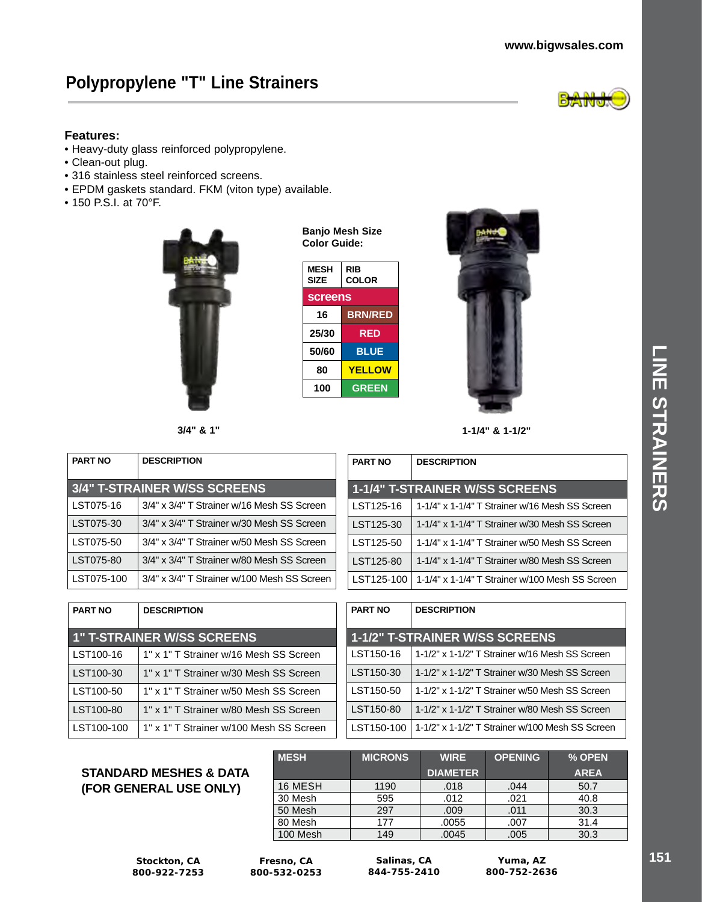### **www.bigwsales.com**

# **Polypropylene "T" Line Strainers**



### **Features:**

- Heavy-duty glass reinforced polypropylene.
- Clean-out plug.
- 316 stainless steel reinforced screens.
- EPDM gaskets standard. FKM (viton type) available.
- 150 P.S.I. at 70°F.



| Banjo Mesh Size |
|-----------------|
| Color Guide:    |

| <b>MESH</b><br><b>SIZE</b> | RIB<br><b>COLOR</b> |  |
|----------------------------|---------------------|--|
| <b>screens</b>             |                     |  |
| 16                         | <b>BRN/RED</b>      |  |
| 25/30                      | RED                 |  |
| 50/60                      | <b>BLUE</b>         |  |
| 80                         | <b>YELLOW</b>       |  |
| 100                        | <b>GREEN</b>        |  |



**3/4" & 1" 1-1/4" & 1-1/2"**

| <b>PART NO</b> | <b>DESCRIPTION</b>                          |  |
|----------------|---------------------------------------------|--|
|                | 3/4" T-STRAINER W/SS SCREENS                |  |
| LST075-16      | 3/4" x 3/4" T Strainer w/16 Mesh SS Screen  |  |
| LST075-30      | 3/4" x 3/4" T Strainer w/30 Mesh SS Screen  |  |
| LST075-50      | 3/4" x 3/4" T Strainer w/50 Mesh SS Screen  |  |
| LST075-80      | 3/4" x 3/4" T Strainer w/80 Mesh SS Screen  |  |
| LST075-100     | 3/4" x 3/4" T Strainer w/100 Mesh SS Screen |  |

| <b>PART NO</b> | <b>DESCRIPTION</b>                              |  |
|----------------|-------------------------------------------------|--|
|                | <b>1-1/4" T-STRAINER W/SS SCREENS</b>           |  |
| LST125-16      | 1-1/4" x 1-1/4" T Strainer w/16 Mesh SS Screen  |  |
| LST125-30      | 1-1/4" x 1-1/4" T Strainer w/30 Mesh SS Screen  |  |
| LST125-50      | 1-1/4" x 1-1/4" T Strainer w/50 Mesh SS Screen  |  |
| LST125-80      | 1-1/4" x 1-1/4" T Strainer w/80 Mesh SS Screen  |  |
| LST125-100     | 1-1/4" x 1-1/4" T Strainer w/100 Mesh SS Screen |  |

| <b>PART NO</b> | <b>DESCRIPTION</b>                      |  |
|----------------|-----------------------------------------|--|
|                | <b>1" T-STRAINER W/SS SCREENS</b>       |  |
| LST100-16      | 1" x 1" T Strainer w/16 Mesh SS Screen  |  |
| LST100-30      | 1" x 1" T Strainer w/30 Mesh SS Screen  |  |
| LST100-50      | 1" x 1" T Strainer w/50 Mesh SS Screen  |  |
| LST100-80      | 1" x 1" T Strainer w/80 Mesh SS Screen  |  |
| LST100-100     | 1" x 1" T Strainer w/100 Mesh SS Screen |  |

| <b>PART NO</b> | <b>DESCRIPTION</b>                              |  |
|----------------|-------------------------------------------------|--|
|                | <b>1-1/2" T-STRAINER W/SS SCREENS</b>           |  |
| LST150-16      | 1-1/2" x 1-1/2" T Strainer w/16 Mesh SS Screen  |  |
| LST150-30      | 1-1/2" x 1-1/2" T Strainer w/30 Mesh SS Screen  |  |
| LST150-50      | 1-1/2" x 1-1/2" T Strainer w/50 Mesh SS Screen  |  |
| LST150-80      | 1-1/2" x 1-1/2" T Strainer w/80 Mesh SS Screen  |  |
| LST150-100     | 1-1/2" x 1-1/2" T Strainer w/100 Mesh SS Screen |  |

### **STANDARD MESHES & DATA (FOR GENERAL USE ONLY)**

| <b>MESH</b> | <b>MICRONS</b> | <b>WIRE</b>     | <b>OPENING</b> | % OPEN      |
|-------------|----------------|-----------------|----------------|-------------|
|             |                | <b>DIAMETER</b> |                | <b>AREA</b> |
| 16 MESH     | 1190           | .018            | .044           | 50.7        |
| 30 Mesh     | 595            | .012            | .021           | 40.8        |
| 50 Mesh     | 297            | .009            | .011           | 30.3        |
| 80 Mesh     | 177            | .0055           | .007           | 31.4        |
| 100 Mesh    | 149            | .0045           | .005           | 30.3        |

**Stockton, CA 800-922-7253**

**Fresno, CA 800-532-0253**

**Salinas, CA 844-755-2410**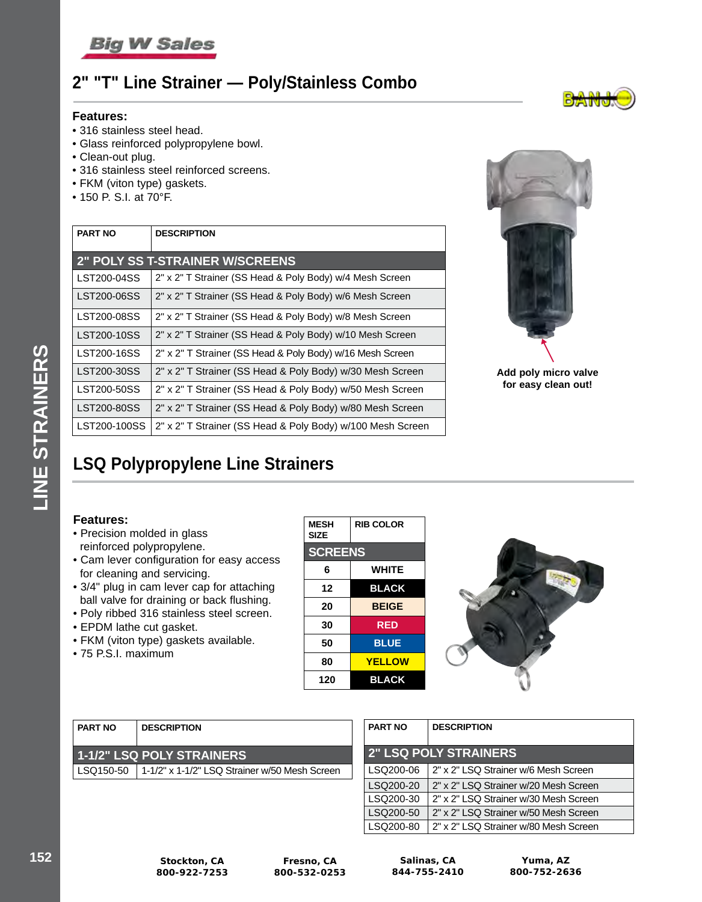

### **2" "T" Line Strainer — Poly/Stainless Combo**

#### **Features:**

- 316 stainless steel head.
- Glass reinforced polypropylene bowl.
- Clean-out plug.
- 316 stainless steel reinforced screens.
- FKM (viton type) gaskets.
- 150 P. S.I. at 70°F.

| <b>PART NO</b> | <b>DESCRIPTION</b>                                         |
|----------------|------------------------------------------------------------|
|                | <b>2" POLY SS T-STRAINER W/SCREENS</b>                     |
| LST200-04SS    | 2" x 2" T Strainer (SS Head & Poly Body) w/4 Mesh Screen   |
| LST200-06SS    | 2" x 2" T Strainer (SS Head & Poly Body) w/6 Mesh Screen   |
| LST200-08SS    | 2" x 2" T Strainer (SS Head & Poly Body) w/8 Mesh Screen   |
| LST200-10SS    | 2" x 2" T Strainer (SS Head & Poly Body) w/10 Mesh Screen  |
| LST200-16SS    | 2" x 2" T Strainer (SS Head & Poly Body) w/16 Mesh Screen  |
| LST200-30SS    | 2" x 2" T Strainer (SS Head & Poly Body) w/30 Mesh Screen  |
| LST200-50SS    | 2" x 2" T Strainer (SS Head & Poly Body) w/50 Mesh Screen  |
| LST200-80SS    | 2" x 2" T Strainer (SS Head & Poly Body) w/80 Mesh Screen  |
| LST200-100SS   | 2" x 2" T Strainer (SS Head & Poly Body) w/100 Mesh Screen |



**Add poly micro valve for easy clean out!**

# **LSQ Polypropylene Line Strainers**

### **Features:**

- Precision molded in glass reinforced polypropylene.
- Cam lever configuration for easy access for cleaning and servicing.
- 3/4" plug in cam lever cap for attaching ball valve for draining or back flushing.
- Poly ribbed 316 stainless steel screen.
- EPDM lathe cut gasket.
- FKM (viton type) gaskets available.
- 75 P.S.I. maximum

| <b>MESH</b><br><b>SIZE</b> | <b>RIB COLOR</b> |  |  |
|----------------------------|------------------|--|--|
| <b>SCREENS</b>             |                  |  |  |
| 6                          | <b>WHITE</b>     |  |  |
| 12                         | <b>BLACK</b>     |  |  |
| 20                         | <b>BEIGE</b>     |  |  |
| 30                         | RED              |  |  |
| 50                         | <b>BLUE</b>      |  |  |
| 80                         | <b>YELLOW</b>    |  |  |
| 120                        | <b>BLACK</b>     |  |  |



| I PART NO | <b>DESCRIPTION</b>                                        |
|-----------|-----------------------------------------------------------|
|           | 1-1/2" LSQ POLY STRAINERS                                 |
|           | LSQ150-50   1-1/2" x 1-1/2" LSQ Strainer w/50 Mesh Screen |
|           |                                                           |

| <b>PART NO</b>               | <b>DESCRIPTION</b>                    |  |  |  |
|------------------------------|---------------------------------------|--|--|--|
| <b>2" LSQ POLY STRAINERS</b> |                                       |  |  |  |
| LSQ200-06                    | 2" x 2" LSQ Strainer w/6 Mesh Screen  |  |  |  |
| LSQ200-20                    | 2" x 2" LSQ Strainer w/20 Mesh Screen |  |  |  |
| LSQ200-30                    | 2" x 2" LSQ Strainer w/30 Mesh Screen |  |  |  |
| LSQ200-50                    | 2" x 2" LSQ Strainer w/50 Mesh Screen |  |  |  |
| LSQ200-80                    | 2" x 2" LSQ Strainer w/80 Mesh Screen |  |  |  |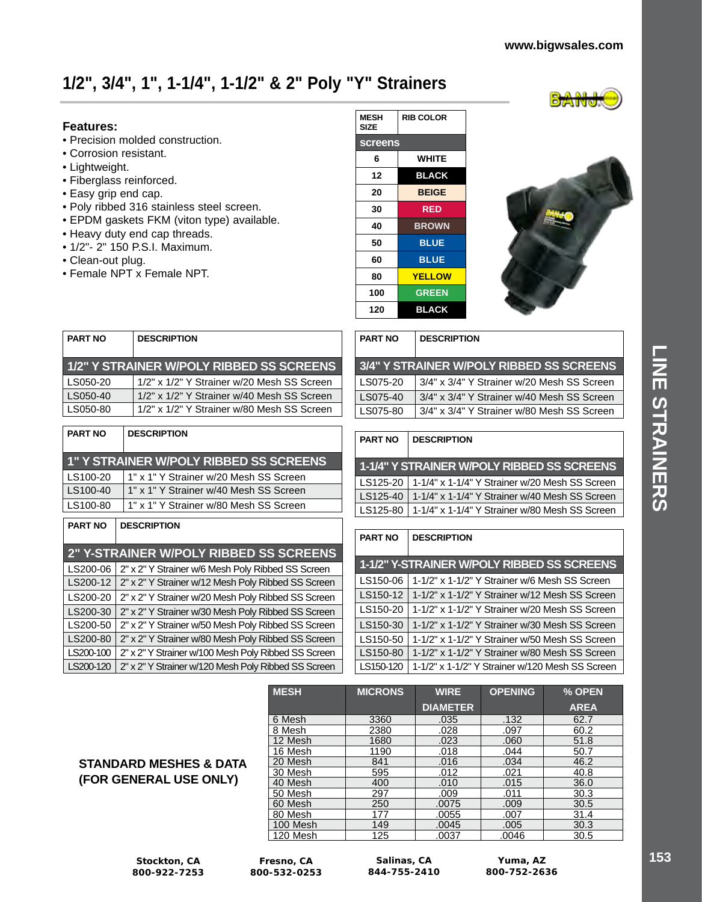# **1/2", 3/4", 1", 1-1/4", 1-1/2" & 2" Poly "Y" Strainers**

### **Features:**

- Precision molded construction.
- Corrosion resistant.
- Lightweight.
- Fiberglass reinforced.
- Easy grip end cap.
- Poly ribbed 316 stainless steel screen.
- EPDM gaskets FKM (viton type) available.
- Heavy duty end cap threads.
- 1/2"- 2" 150 P.S.I. Maximum.
- Clean-out plug.
- Female NPT x Female NPT.

| <b>MESH</b><br>SIZE | <b>RIB COLOR</b> |  |  |
|---------------------|------------------|--|--|
| <b>screens</b>      |                  |  |  |
| 6                   | <b>WHITE</b>     |  |  |
| 12                  | <b>BLACK</b>     |  |  |
| 20                  | <b>BEIGE</b>     |  |  |
| 30                  | <b>RED</b>       |  |  |
| 40                  | <b>BROWN</b>     |  |  |
| 50                  | <b>BLUE</b>      |  |  |
| 60                  | <b>BLUE</b>      |  |  |
| 80                  | <b>YELLOW</b>    |  |  |
| 100                 | <b>GREEN</b>     |  |  |
| 120                 | <b>BLACK</b>     |  |  |



| <b>PART NO</b> | <b>DESCRIPTION</b>                         |
|----------------|--------------------------------------------|
|                | 1/2" Y STRAINER W/POLY RIBBED SS SCREENS   |
| LS050-20       | 1/2" x 1/2" Y Strainer w/20 Mesh SS Screen |
| LS050-40       | 1/2" x 1/2" Y Strainer w/40 Mesh SS Screen |
| LS050-80       | 1/2" x 1/2" Y Strainer w/80 Mesh SS Screen |

| <b>PART NO</b> | <b>DESCRIPTION</b>                     |
|----------------|----------------------------------------|
|                | 1" Y STRAINER W/POLY RIBBED SS SCREENS |
| LS100-20       | 1" x 1" Y Strainer w/20 Mesh SS Screen |
| LS100-40       | 1" x 1" Y Strainer w/40 Mesh SS Screen |
| LS100-80       | 1" x 1" Y Strainer w/80 Mesh SS Screen |
|                |                                        |

### **PART NO DESCRIPTION**

|           | <b>2" Y-STRAINER W/POLY RIBBED SS SCREENS</b>       |
|-----------|-----------------------------------------------------|
| LS200-06  | 2" x 2" Y Strainer w/6 Mesh Poly Ribbed SS Screen   |
| LS200-12  | 2" x 2" Y Strainer w/12 Mesh Poly Ribbed SS Screen  |
| LS200-20  | 2" x 2" Y Strainer w/20 Mesh Poly Ribbed SS Screen  |
| LS200-30  | 2" x 2" Y Strainer w/30 Mesh Poly Ribbed SS Screen  |
| LS200-50  | 2" x 2" Y Strainer w/50 Mesh Poly Ribbed SS Screen  |
| LS200-80  | 2" x 2" Y Strainer w/80 Mesh Poly Ribbed SS Screen  |
| LS200-100 | 2" x 2" Y Strainer w/100 Mesh Poly Ribbed SS Screen |
| LS200-120 | 2" x 2" Y Strainer w/120 Mesh Poly Ribbed SS Screen |

| ∣ PART NO | <b>DESCRIPTION</b>                         |  |  |  |
|-----------|--------------------------------------------|--|--|--|
|           | 3/4" Y STRAINER W/POLY RIBBED SS SCREENS   |  |  |  |
| LS075-20  | 3/4" x 3/4" Y Strainer w/20 Mesh SS Screen |  |  |  |
| LS075-40  | 3/4" x 3/4" Y Strainer w/40 Mesh SS Screen |  |  |  |
| LS075-80  | 3/4" x 3/4" Y Strainer w/80 Mesh SS Screen |  |  |  |

### **PART NO DESCRIPTION**

| 1-1/4" Y STRAINER W/POLY RIBBED SS SCREENS                |
|-----------------------------------------------------------|
| LS125-20   1-1/4" x 1-1/4" Y Strainer w/20 Mesh SS Screen |
| LS125-40   1-1/4" x 1-1/4" Y Strainer w/40 Mesh SS Screen |
| LS125-80   1-1/4" x 1-1/4" Y Strainer w/80 Mesh SS Screen |

| <b>PART NO</b> | <b>DESCRIPTION</b>                              |
|----------------|-------------------------------------------------|
|                | 1-1/2" Y-STRAINER W/POLY RIBBED SS SCREENS      |
| LS150-06       | 1-1/2" x 1-1/2" Y Strainer w/6 Mesh SS Screen   |
| LS150-12       | 1-1/2" x 1-1/2" Y Strainer w/12 Mesh SS Screen  |
| LS150-20       | 1-1/2" x 1-1/2" Y Strainer w/20 Mesh SS Screen  |
| LS150-30       | 1-1/2" x 1-1/2" Y Strainer w/30 Mesh SS Screen  |
| LS150-50       | 1-1/2" x 1-1/2" Y Strainer w/50 Mesh SS Screen  |
| LS150-80       | 1-1/2" x 1-1/2" Y Strainer w/80 Mesh SS Screen  |
| LS150-120      | 1-1/2" x 1-1/2" Y Strainer w/120 Mesh SS Screen |

| <b>MESH</b> | <b>MICRONS</b> | <b>WIRE</b>     | <b>OPENING</b> | % OPEN      |
|-------------|----------------|-----------------|----------------|-------------|
|             |                | <b>DIAMETER</b> |                | <b>AREA</b> |
| 6 Mesh      | 3360           | .035            | .132           | 62.7        |
| 8 Mesh      | 2380           | .028            | .097           | 60.2        |
| 12 Mesh     | 1680           | .023            | .060           | 51.8        |
| 16 Mesh     | 1190           | .018            | .044           | 50.7        |
| 20 Mesh     | 841            | .016            | .034           | 46.2        |
| 30 Mesh     | 595            | .012            | .021           | 40.8        |
| 40 Mesh     | 400            | .010            | .015           | 36.0        |
| 50 Mesh     | 297            | .009            | .011           | 30.3        |
| 60 Mesh     | 250            | .0075           | .009           | 30.5        |
| 80 Mesh     | 177            | .0055           | .007           | 31.4        |
| 100 Mesh    | 149            | .0045           | .005           | 30.3        |
| 120 Mesh    | 125            | .0037           | .0046          | 30.5        |

**(FOR GENERAL USE ONLY)**

**STANDARD MESHES & DATA** 

**Stockton, CA 800-922-7253**

**Fresno, CA 800-532-0253**

**Salinas, CA 844-755-2410**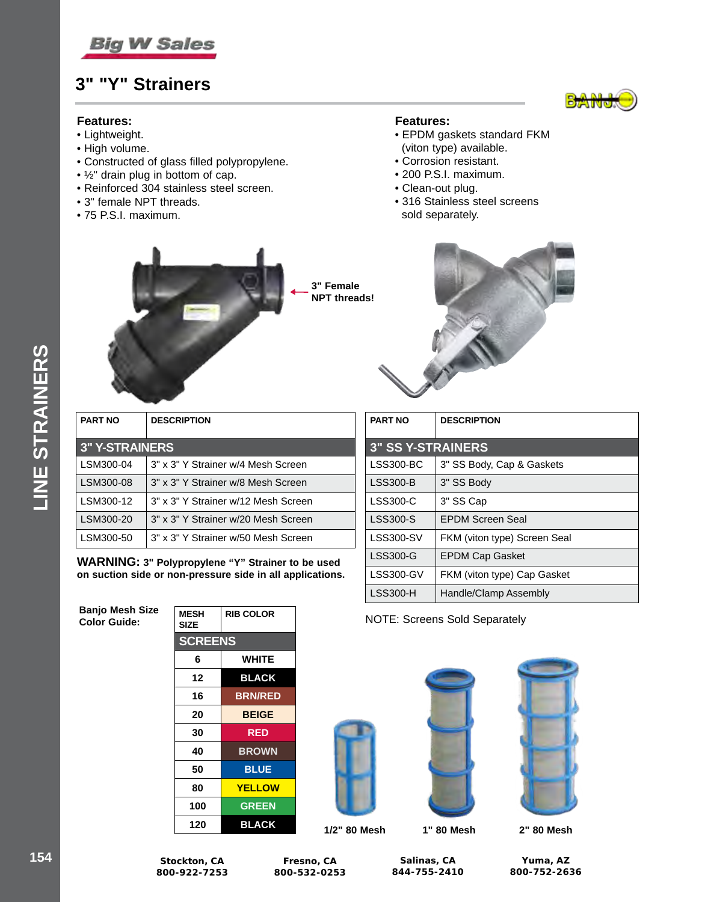

### **3" "Y" Strainers**

### **Features:**

- Lightweight.
- High volume.
- Constructed of glass filled polypropylene.
- ½" drain plug in bottom of cap.
- Reinforced 304 stainless steel screen.
- 3" female NPT threads.
- 75 P.S.I. maximum.

### **Features:**

- EPDM gaskets standard FKM (viton type) available.
- Corrosion resistant.
- 200 P.S.I. maximum.
- Clean-out plug.
- 316 Stainless steel screens sold separately.



|  |  | 3" Female<br><b>NPT threads!</b> |
|--|--|----------------------------------|
|  |  |                                  |



| <b>PART NO</b> | <b>DESCRIPTION</b>                  |  |  |
|----------------|-------------------------------------|--|--|
|                | <b>3" Y-STRAINERS</b>               |  |  |
| LSM300-04      | 3" x 3" Y Strainer w/4 Mesh Screen  |  |  |
| LSM300-08      | 3" x 3" Y Strainer w/8 Mesh Screen  |  |  |
| LSM300-12      | 3" x 3" Y Strainer w/12 Mesh Screen |  |  |
| LSM300-20      | 3" x 3" Y Strainer w/20 Mesh Screen |  |  |
| LSM300-50      | 3" x 3" Y Strainer w/50 Mesh Screen |  |  |

**WARNING: 3" Polypropylene "Y" Strainer to be used on suction side or non-pressure side in all applications.**

**Banjo Mesh Size** 

| <b>MESH</b><br><b>SIZE</b> | <b>RIB COLOR</b> |  |
|----------------------------|------------------|--|
| <b>SCREENS</b>             |                  |  |
| 6                          | <b>WHITE</b>     |  |
| 12                         | <b>BLACK</b>     |  |
| 16                         | <b>BRN/RED</b>   |  |
| 20                         | <b>BEIGE</b>     |  |
| 30                         | <b>RED</b>       |  |
| 40                         | <b>BROWN</b>     |  |
| 50                         | <b>BLUE</b>      |  |
| 80                         | <b>YELLOW</b>    |  |
| 100                        | <b>GREEN</b>     |  |
| 120                        | <b>BLACK</b>     |  |

| <b>PART NO</b>           | <b>DESCRIPTION</b>           |  |
|--------------------------|------------------------------|--|
| <b>3" SS Y-STRAINERS</b> |                              |  |
| <b>LSS300-BC</b>         | 3" SS Body, Cap & Gaskets    |  |
| <b>LSS300-B</b>          | 3" SS Body                   |  |
| <b>LSS300-C</b>          | 3" SS Cap                    |  |
| <b>LSS300-S</b>          | <b>EPDM Screen Seal</b>      |  |
| <b>LSS300-SV</b>         | FKM (viton type) Screen Seal |  |
| <b>LSS300-G</b>          | <b>EPDM Cap Gasket</b>       |  |
| LSS300-GV                | FKM (viton type) Cap Gasket  |  |
| <b>LSS300-H</b>          | Handle/Clamp Assembly        |  |

**Color Guide:** NOTE: Screens Sold Separately







**1/2" 80 Mesh 1" 80 Mesh 2" 80 Mesh**

| . . | -----          |
|-----|----------------|
| 16  | <b>BRN/RED</b> |
| 20  | <b>BEIGE</b>   |
| 30  | <b>RED</b>     |
| ΛN  | RDOWN          |

**Fresno, CA 800-532-0253**

**Salinas, CA 844-755-2410**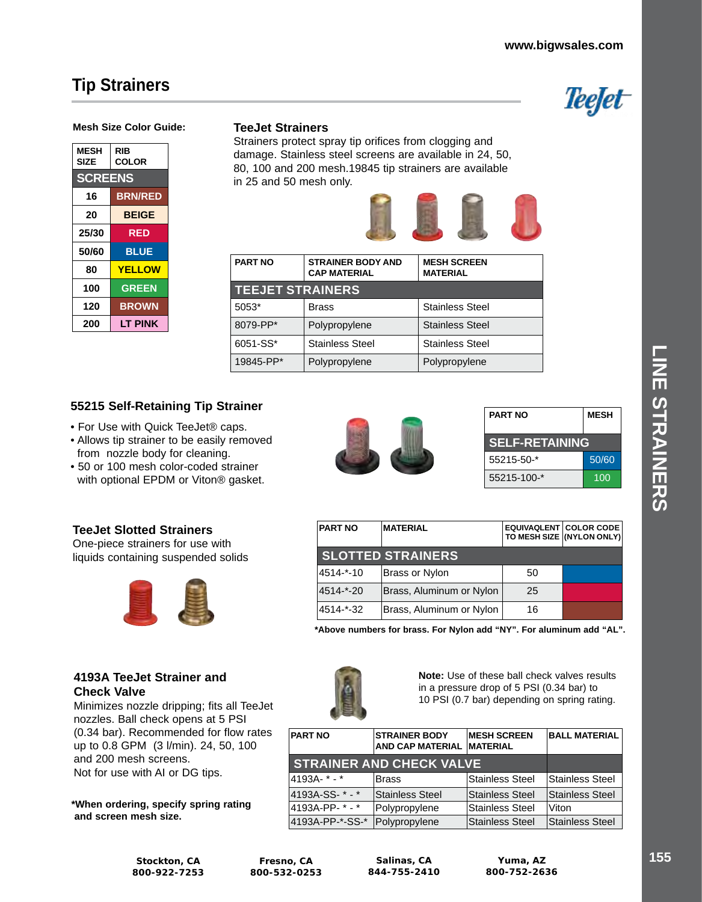## **Tip Strainers**



#### **Mesh Size Color Guide:**

| <b>MESH</b><br>SIZE | RIB<br>COLOR   |  |
|---------------------|----------------|--|
| <b>SCREENS</b>      |                |  |
| 16                  | <b>BRN/RED</b> |  |
| 20                  | <b>BEIGE</b>   |  |
| 25/30               | <b>RED</b>     |  |
| 50/60               | <b>BLUE</b>    |  |
| 80                  | <b>YELLOW</b>  |  |
| 100                 | <b>GREEN</b>   |  |
| 120                 | <b>BROWN</b>   |  |
| 200                 | LT PINK        |  |

### **TeeJet Strainers**

Strainers protect spray tip orifices from clogging and damage. Stainless steel screens are available in 24, 50, 80, 100 and 200 mesh.19845 tip strainers are available in 25 and 50 mesh only.



| <b>PART NO</b>          | <b>STRAINER BODY AND</b><br><b>CAP MATERIAL</b> | <b>MESH SCREEN</b><br><b>MATERIAL</b> |
|-------------------------|-------------------------------------------------|---------------------------------------|
| <b>TEEJET STRAINERS</b> |                                                 |                                       |
| 5053*                   | Brass                                           | <b>Stainless Steel</b>                |
| 8079-PP*                | Polypropylene                                   | <b>Stainless Steel</b>                |
| 6051-SS*                | <b>Stainless Steel</b>                          | <b>Stainless Steel</b>                |
| 19845-PP*               | Polypropylene                                   | Polypropylene                         |

### **55215 Self-Retaining Tip Strainer**

- For Use with Quick TeeJet® caps.
- Allows tip strainer to be easily removed from nozzle body for cleaning.
- 50 or 100 mesh color-coded strainer with optional EPDM or Viton® gasket.

### **TeeJet Slotted Strainers**

One-piece strainers for use with liquids containing suspended solids



### **4193A TeeJet Strainer and Check Valve**

Minimizes nozzle dripping; fits all TeeJet nozzles. Ball check opens at 5 PSI (0.34 bar). Recommended for flow rates up to 0.8 GPM (3 l/min). 24, 50, 100 and 200 mesh screens. Not for use with AI or DG tips.

**\*When ordering, specify spring rating and screen mesh size.**

| <b>PART NO</b>        | <b>MESH</b> |  |
|-----------------------|-------------|--|
| <b>SELF-RETAINING</b> |             |  |
| $55215 - 50 -$ *      | 50/60       |  |
| 55215-100-*           | 100         |  |

| <b>PART NO</b>           | <b>MATERIAL</b>          |    | <b>EQUIVAQLENT COLOR CODE</b><br>TO MESH SIZE (NYLON ONLY) |
|--------------------------|--------------------------|----|------------------------------------------------------------|
| <b>SLOTTED STRAINERS</b> |                          |    |                                                            |
| 4514-*-10                | Brass or Nylon           | 50 |                                                            |
| 4514-*-20                | Brass, Aluminum or Nylon | 25 |                                                            |
| 4514-*-32                | Brass, Aluminum or Nylon | 16 |                                                            |

**\*Above numbers for brass. For Nylon add "NY". For aluminum add "AL".**



**Note:** Use of these ball check valves results in a pressure drop of 5 PSI (0.34 bar) to 10 PSI (0.7 bar) depending on spring rating.

| <b>PART NO</b>    | <b>STRAINER BODY</b><br><b>AND CAP MATERIAL</b> | <b>MESH SCREEN</b><br><b>MATERIAL</b> | <b>BALL MATERIAL</b> |
|-------------------|-------------------------------------------------|---------------------------------------|----------------------|
|                   | <b>STRAINER AND CHECK VALVE</b>                 |                                       |                      |
| 4193A- $*$ - $*$  | <b>Brass</b>                                    | Stainless Steel                       | Stainless Steel      |
| 4193A-SS- $* - *$ | Stainless Steel                                 | Stainless Steel                       | Stainless Steel      |
| 4193A-PP-*-*      | Polypropylene                                   | Stainless Steel                       | Viton                |
| 4193A-PP-*-SS-*   | Polypropylene                                   | Stainless Steel                       | Stainless Steel      |

**Fresno, CA 800-532-0253**

**Salinas, CA 844-755-2410**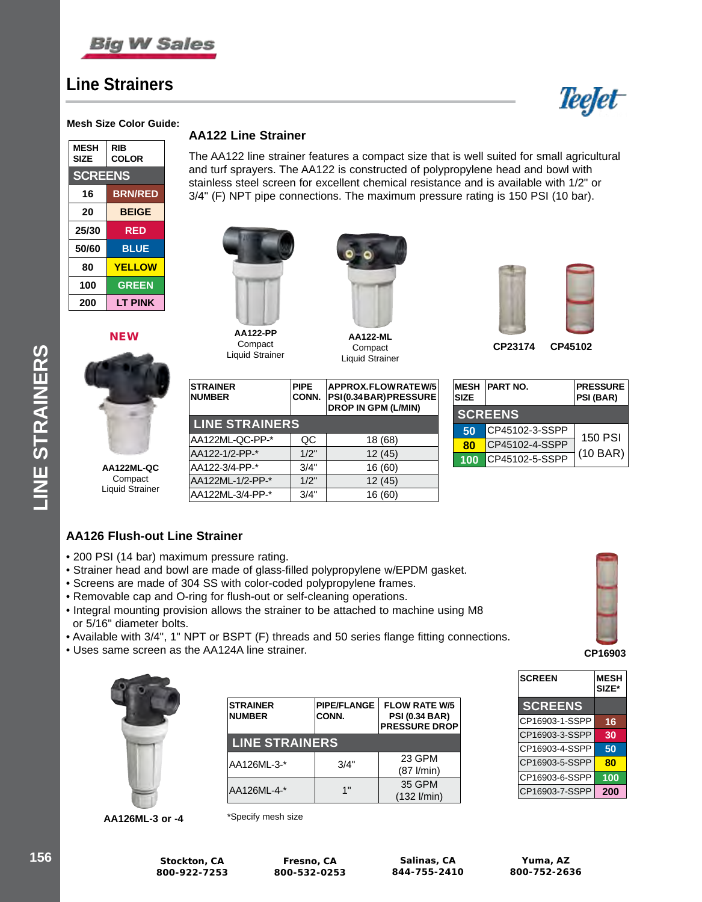

### **Line Strainers**



#### **Mesh Size Color Guide:**

| <b>MESH</b><br><b>SIZE</b> | RIB<br><b>COLOR</b> |  |
|----------------------------|---------------------|--|
| <b>SCREENS</b>             |                     |  |
| 16                         | <b>BRN/RED</b>      |  |
| 20                         | <b>BEIGE</b>        |  |
| 25/30                      | RED                 |  |
| 50/60                      | <b>BLUE</b>         |  |
| 80                         | <b>YELLOW</b>       |  |
| 100                        | <b>GREEN</b>        |  |
| 200                        | LT PINK             |  |

**NEW** 



### **AA122 Line Strainer**

The AA122 line strainer features a compact size that is well suited for small agricultural and turf sprayers. The AA122 is constructed of polypropylene head and bowl with stainless steel screen for excellent chemical resistance and is available with 1/2" or 3/4" (F) NPT pipe connections. The maximum pressure rating is 150 PSI (10 bar).



**Compact** Liquid Strainer

**LINE STRAINERS**

**PIPE CONN.**

AA122ML-QC-PP-\* QC 18 (68) AA122-1/2-PP-\* 1/2" 12 (45) AA122-3/4-PP-\* 3/4" 16 (60) AA122ML-1/2-PP-\* 1/2" 12 (45) AA122ML-3/4-PP-\* 3/4" 16 (60)

**STRAINER NUMBER**



**AA122-ML** Compact Liquid Strainer

**APPROX. FLOW RATE W/5 PSI (0.34 BAR) PRESSURE DROP IN GPM (L/MIN)**



**CP23174 CP45102**

| <b>MESH</b><br><b>SIZE</b> | <b>PART NO.</b> | <b>PRESSURE</b><br><b>PSI (BAR)</b> |
|----------------------------|-----------------|-------------------------------------|
|                            | <b>SCREENS</b>  |                                     |
| 50                         | CP45102-3-SSPP  | 150 PSI                             |
| 80                         | CP45102-4-SSPP  |                                     |
| 100                        | CP45102-5-SSPP  | (10 BAR)                            |

### **AA126 Flush-out Line Strainer**

- 200 PSI (14 bar) maximum pressure rating.
- Strainer head and bowl are made of glass-filled polypropylene w/EPDM gasket.
- Screens are made of 304 SS with color-coded polypropylene frames.
- Removable cap and O-ring for flush-out or self-cleaning operations.
- Integral mounting provision allows the strainer to be attached to machine using M8 or 5/16" diameter bolts.
- Available with 3/4", 1" NPT or BSPT (F) threads and 50 series flange fitting connections.
- Uses same screen as the AA124A line strainer.



| <b>STRAINER</b><br><b>NUMBER</b> | <b>PIPE/FLANGE</b><br>CONN. | <b>FLOW RATE W/5</b><br><b>PSI (0.34 BAR)</b><br><b>PRESSURE DROP</b> |  |  |
|----------------------------------|-----------------------------|-----------------------------------------------------------------------|--|--|
| <b>LINE STRAINERS</b>            |                             |                                                                       |  |  |
| AA126ML-3-*                      | 3/4"                        | 23 GPM<br>$(87$ l/min)                                                |  |  |
| AA126ML-4-*                      | 1"                          | 35 GPM<br>$(132$ l/min)                                               |  |  |

**AA126ML-3 or -4** \*Specify mesh size



**CP16903**

| <b>SCREEN</b>  | <b>MESH</b><br>SIZE* |
|----------------|----------------------|
| <b>SCREENS</b> |                      |
| CP16903-1-SSPP | 16                   |
| CP16903-3-SSPP | 30                   |
| CP16903-4-SSPP | 50                   |
| CP16903-5-SSPP | 80                   |
| CP16903-6-SSPP | 100                  |
| CP16903-7-SSPP | 200                  |

**INE STRAINERS LINE STRAINERS**

**Fresno, CA 800-532-0253**

**Salinas, CA 844-755-2410**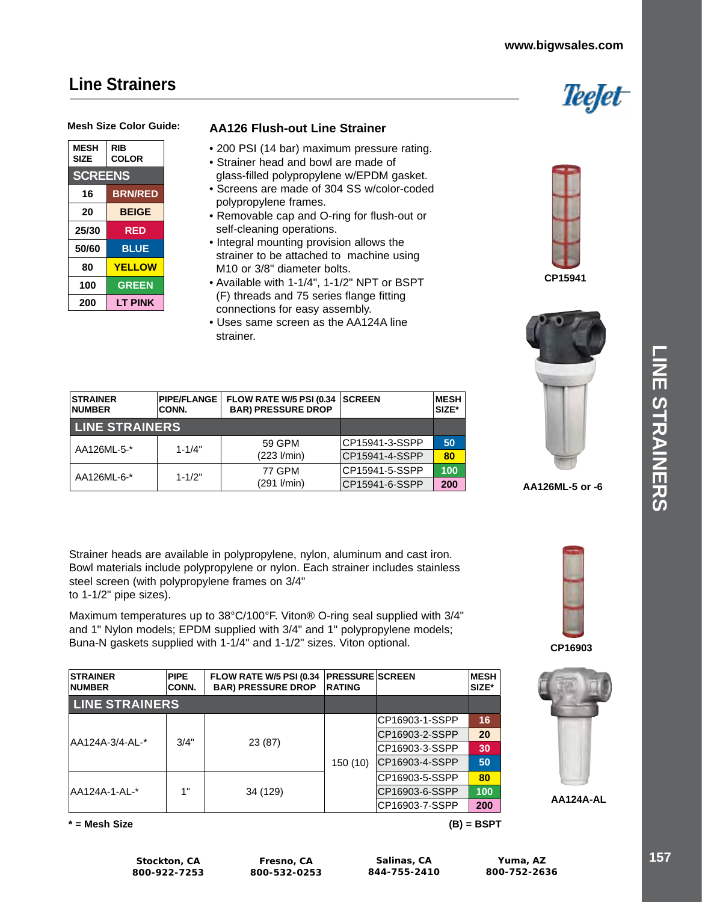### **www.bigwsales.com**

Teefet

### **Line Strainers**



| <b>MESH</b><br><b>SIZE</b> | RIB<br><b>COLOR</b> |
|----------------------------|---------------------|
| <b>SCREENS</b>             |                     |
| 16                         | <b>BRN/RED</b>      |
| 20                         | <b>BEIGE</b>        |
| 25/30                      | RED                 |
| 50/60                      | <b>BLUE</b>         |
| 80                         | <b>YELLOW</b>       |
| 100                        | <b>GREEN</b>        |
| 200                        | I T PINK            |

### **AA126 Flush-out Line Strainer**

- 200 PSI (14 bar) maximum pressure rating.
- Strainer head and bowl are made of glass-filled polypropylene w/EPDM gasket.
- Screens are made of 304 SS w/color-coded polypropylene frames.
- Removable cap and O-ring for flush-out or self-cleaning operations.
- Integral mounting provision allows the strainer to be attached to machine using M10 or 3/8" diameter bolts.
- Available with 1-1/4", 1-1/2" NPT or BSPT (F) threads and 75 series flange fitting connections for easy assembly.
- Uses same screen as the AA124A line strainer.





CP15941-6-SSPP **200 AA126ML-5 or -6**

| <b>STRAINER</b><br><b>NUMBER</b> | <b>PIPE/FLANGE</b><br><b>CONN.</b> | FLOW RATE W/5 PSI (0.34<br><b>BAR) PRESSURE DROP</b> | <b>SCREEN</b>   | <b>MESH</b><br>SIZE* |
|----------------------------------|------------------------------------|------------------------------------------------------|-----------------|----------------------|
| <b>LINE STRAINERS</b>            |                                    |                                                      |                 |                      |
| AA126ML-5-*                      | $1 - 1/4"$                         | 59 GPM                                               | ICP15941-3-SSPP | 50                   |
|                                  |                                    | $(223 \text{ I/min})$                                | ICP15941-4-SSPP | 80                   |
| AA126ML-6-*                      | $1 - 1/2"$                         | <b>77 GPM</b>                                        | ICP15941-5-SSPP | 100                  |
|                                  |                                    | (291 l/min)                                          | ICP15941-6-SSPP | 200                  |

Strainer heads are available in polypropylene, nylon, aluminum and cast iron. Bowl materials include polypropylene or nylon. Each strainer includes stainless steel screen (with polypropylene frames on 3/4" to 1-1/2" pipe sizes).

Maximum temperatures up to 38°C/100°F. Viton® O-ring seal supplied with 3/4" and 1" Nylon models; EPDM supplied with 3/4" and 1" polypropylene models; Buna-N gaskets supplied with 1-1/4" and 1-1/2" sizes. Viton optional.

| <b>STRAINER</b><br><b>NUMBER</b> | <b>PIPE</b><br>CONN. | FLOW RATE W/5 PSI (0.34<br><b>BAR) PRESSURE DROP</b> | <b>PRESSURE SCREEN</b><br><b>RATING</b> |                 | <b>MESH</b><br>SIZE* |
|----------------------------------|----------------------|------------------------------------------------------|-----------------------------------------|-----------------|----------------------|
| <b>LINE STRAINERS</b>            |                      |                                                      |                                         |                 |                      |
|                                  |                      |                                                      |                                         | CP16903-1-SSPP  | 16                   |
|                                  |                      |                                                      |                                         | CP16903-2-SSPP  | 20                   |
| AA124A-3/4-AL-*                  | 3/4"                 | 23 (87)                                              |                                         | CP16903-3-SSPP  | 30                   |
|                                  |                      |                                                      | 150(10)                                 | ICP16903-4-SSPP | 50                   |
|                                  |                      |                                                      |                                         | CP16903-5-SSPP  | 80                   |
| AA124A-1-AL-*                    | 1"                   | 34 (129)                                             |                                         | CP16903-6-SSPP  | 100                  |
|                                  |                      |                                                      |                                         | CP16903-7-SSPP  | 200                  |

**\* = Mesh Size (B) = BSPT**



**CP16903**



**AA124A-AL**